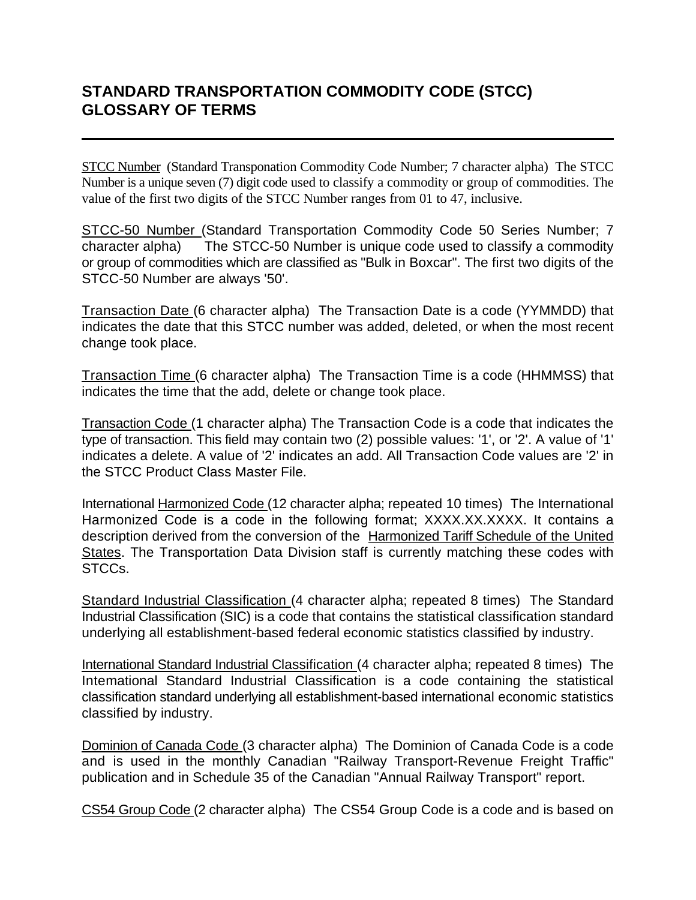## **STANDARD TRANSPORTATION COMMODITY CODE (STCC) GLOSSARY OF TERMS**

STCC Number (Standard Transponation Commodity Code Number; 7 character alpha) The STCC Number is a unique seven (7) digit code used to classify a commodity or group of commodities. The value of the first two digits of the STCC Number ranges from 01 to 47, inclusive.

STCC-50 Number (Standard Transportation Commodity Code 50 Series Number; 7 character alpha) The STCC-50 Number is unique code used to classify a commodity or group of commodities which are classified as "Bulk in Boxcar". The first two digits of the STCC-50 Number are always '50'.

Transaction Date (6 character alpha) The Transaction Date is a code (YYMMDD) that indicates the date that this STCC number was added, deleted, or when the most recent change took place.

Transaction Time (6 character alpha) The Transaction Time is a code (HHMMSS) that indicates the time that the add, delete or change took place.

Transaction Code (1 character alpha) The Transaction Code is a code that indicates the type of transaction. This field may contain two (2) possible values: '1', or '2'. A value of '1' indicates a delete. A value of '2' indicates an add. All Transaction Code values are '2' in the STCC Product Class Master File.

International Harmonized Code (12 character alpha; repeated 10 times) The International Harmonized Code is a code in the following format; XXXX.XX.XXXX. It contains a description derived from the conversion of the Harmonized Tariff Schedule of the United States. The Transportation Data Division staff is currently matching these codes with STCCs.

Standard Industrial Classification (4 character alpha; repeated 8 times) The Standard Industrial Classification (SIC) is a code that contains the statistical classification standard underlying all establishment-based federal economic statistics classified by industry.

International Standard Industrial Classification (4 character alpha; repeated 8 times) The Intemational Standard Industrial Classification is a code containing the statistical classification standard underlying all establishment-based international economic statistics classified by industry.

Dominion of Canada Code (3 character alpha) The Dominion of Canada Code is a code and is used in the monthly Canadian "Railway Transport-Revenue Freight Traffic" publication and in Schedule 35 of the Canadian "Annual Railway Transport" report.

CS54 Group Code (2 character alpha) The CS54 Group Code is a code and is based on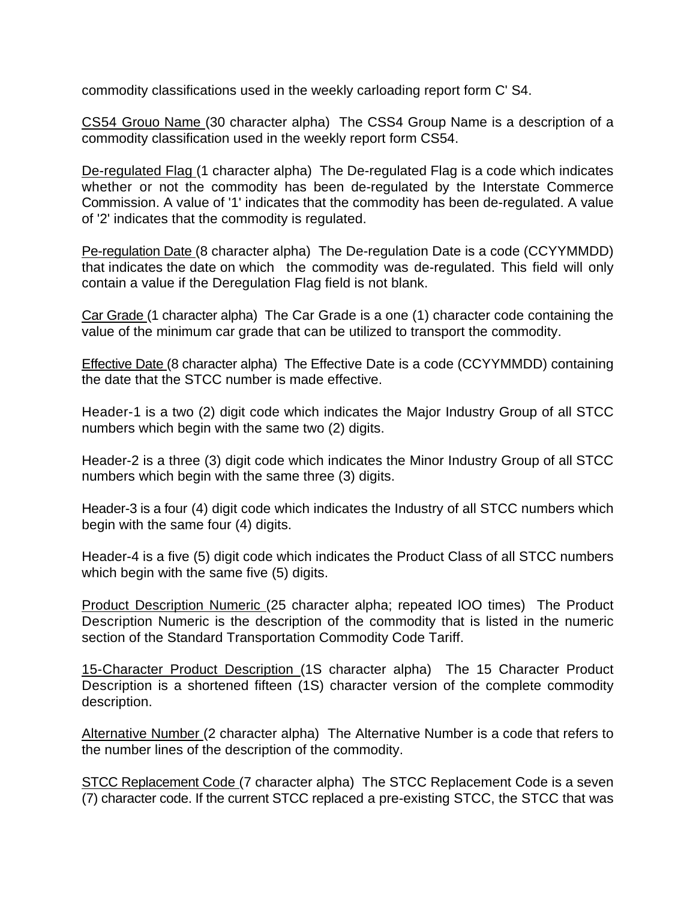commodity classifications used in the weekly carloading report form C' S4.

CS54 Grouo Name (30 character alpha) The CSS4 Group Name is a description of a commodity classification used in the weekly report form CS54.

De-regulated Flag (1 character alpha) The De-regulated Flag is a code which indicates whether or not the commodity has been de-regulated by the Interstate Commerce Commission. A value of '1' indicates that the commodity has been de-regulated. A value of '2' indicates that the commodity is regulated.

Pe-regulation Date (8 character alpha) The De-regulation Date is a code (CCYYMMDD) that indicates the date on which the commodity was de-regulated. This field will only contain a value if the Deregulation Flag field is not blank.

Car Grade (1 character alpha) The Car Grade is a one (1) character code containing the value of the minimum car grade that can be utilized to transport the commodity.

Effective Date (8 character alpha) The Effective Date is a code (CCYYMMDD) containing the date that the STCC number is made effective.

Header-1 is a two (2) digit code which indicates the Major Industry Group of all STCC numbers which begin with the same two (2) digits.

Header-2 is a three (3) digit code which indicates the Minor Industry Group of all STCC numbers which begin with the same three (3) digits.

Header-3 is a four (4) digit code which indicates the Industry of all STCC numbers which begin with the same four (4) digits.

Header-4 is a five (5) digit code which indicates the Product Class of all STCC numbers which begin with the same five (5) digits.

Product Description Numeric (25 character alpha; repeated lOO times) The Product Description Numeric is the description of the commodity that is listed in the numeric section of the Standard Transportation Commodity Code Tariff.

15-Character Product Description (1S character alpha) The 15 Character Product Description is a shortened fifteen (1S) character version of the complete commodity description.

Alternative Number (2 character alpha) The Alternative Number is a code that refers to the number lines of the description of the commodity.

STCC Replacement Code (7 character alpha) The STCC Replacement Code is a seven (7) character code. If the current STCC replaced a pre-existing STCC, the STCC that was